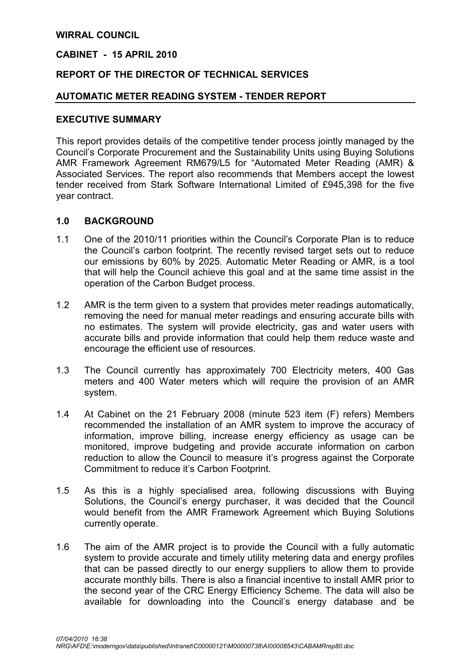## WIRRAL COUNCIL

#### CABINET - 15 APRIL 2010

## REPORT OF THE DIRECTOR OF TECHNICAL SERVICES

#### AUTOMATIC METER READING SYSTEM - TENDER REPORT

#### EXECUTIVE SUMMARY

This report provides details of the competitive tender process jointly managed by the Council's Corporate Procurement and the Sustainability Units using Buying Solutions AMR Framework Agreement RM679/L5 for "Automated Meter Reading (AMR) & Associated Services. The report also recommends that Members accept the lowest tender received from Stark Software International Limited of £945,398 for the five year contract.

#### 1.0 BACKGROUND

- 1.1 One of the 2010/11 priorities within the Council's Corporate Plan is to reduce the Council's carbon footprint. The recently revised target sets out to reduce our emissions by 60% by 2025. Automatic Meter Reading or AMR, is a tool that will help the Council achieve this goal and at the same time assist in the operation of the Carbon Budget process.
- 1.2 AMR is the term given to a system that provides meter readings automatically, removing the need for manual meter readings and ensuring accurate bills with no estimates. The system will provide electricity, gas and water users with accurate bills and provide information that could help them reduce waste and encourage the efficient use of resources.
- 1.3 The Council currently has approximately 700 Electricity meters, 400 Gas meters and 400 Water meters which will require the provision of an AMR system.
- 1.4 At Cabinet on the 21 February 2008 (minute 523 item (F) refers) Members recommended the installation of an AMR system to improve the accuracy of information, improve billing, increase energy efficiency as usage can be monitored, improve budgeting and provide accurate information on carbon reduction to allow the Council to measure it's progress against the Corporate Commitment to reduce it's Carbon Footprint.
- 1.5 As this is a highly specialised area, following discussions with Buying Solutions, the Council's energy purchaser, it was decided that the Council would benefit from the AMR Framework Agreement which Buying Solutions currently operate.
- 1.6 The aim of the AMR project is to provide the Council with a fully automatic system to provide accurate and timely utility metering data and energy profiles that can be passed directly to our energy suppliers to allow them to provide accurate monthly bills. There is also a financial incentive to install AMR prior to the second year of the CRC Energy Efficiency Scheme. The data will also be available for downloading into the Council's energy database and be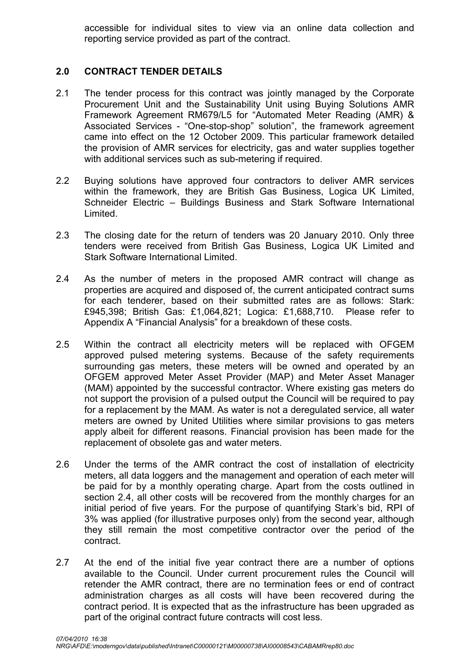accessible for individual sites to view via an online data collection and reporting service provided as part of the contract.

# 2.0 CONTRACT TENDER DETAILS

- 2.1 The tender process for this contract was jointly managed by the Corporate Procurement Unit and the Sustainability Unit using Buying Solutions AMR Framework Agreement RM679/L5 for "Automated Meter Reading (AMR) & Associated Services - "One-stop-shop" solution", the framework agreement came into effect on the 12 October 2009. This particular framework detailed the provision of AMR services for electricity, gas and water supplies together with additional services such as sub-metering if required.
- 2.2 Buying solutions have approved four contractors to deliver AMR services within the framework, they are British Gas Business, Logica UK Limited, Schneider Electric – Buildings Business and Stark Software International Limited.
- 2.3 The closing date for the return of tenders was 20 January 2010. Only three tenders were received from British Gas Business, Logica UK Limited and Stark Software International Limited.
- 2.4 As the number of meters in the proposed AMR contract will change as properties are acquired and disposed of, the current anticipated contract sums for each tenderer, based on their submitted rates are as follows: Stark: £945,398; British Gas: £1,064,821; Logica: £1,688,710. Please refer to Appendix A "Financial Analysis" for a breakdown of these costs.
- 2.5 Within the contract all electricity meters will be replaced with OFGEM approved pulsed metering systems. Because of the safety requirements surrounding gas meters, these meters will be owned and operated by an OFGEM approved Meter Asset Provider (MAP) and Meter Asset Manager (MAM) appointed by the successful contractor. Where existing gas meters do not support the provision of a pulsed output the Council will be required to pay for a replacement by the MAM. As water is not a deregulated service, all water meters are owned by United Utilities where similar provisions to gas meters apply albeit for different reasons. Financial provision has been made for the replacement of obsolete gas and water meters.
- 2.6 Under the terms of the AMR contract the cost of installation of electricity meters, all data loggers and the management and operation of each meter will be paid for by a monthly operating charge. Apart from the costs outlined in section 2.4, all other costs will be recovered from the monthly charges for an initial period of five years. For the purpose of quantifying Stark's bid, RPI of 3% was applied (for illustrative purposes only) from the second year, although they still remain the most competitive contractor over the period of the contract.
- 2.7 At the end of the initial five year contract there are a number of options available to the Council. Under current procurement rules the Council will retender the AMR contract, there are no termination fees or end of contract administration charges as all costs will have been recovered during the contract period. It is expected that as the infrastructure has been upgraded as part of the original contract future contracts will cost less.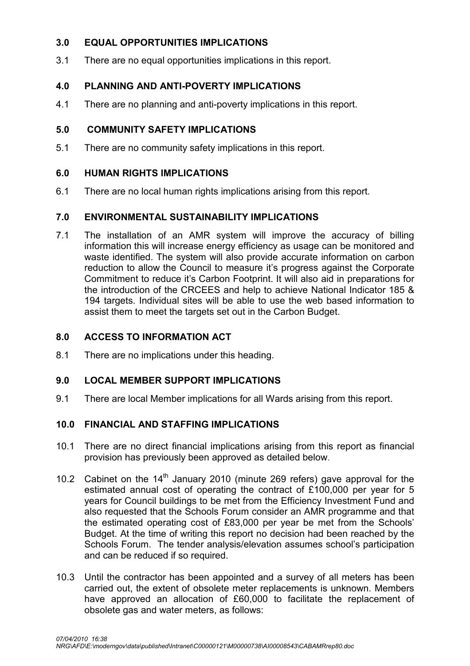# 3.0 EQUAL OPPORTUNITIES IMPLICATIONS

3.1 There are no equal opportunities implications in this report.

# 4.0 PLANNING AND ANTI-POVERTY IMPLICATIONS

4.1 There are no planning and anti-poverty implications in this report.

# 5.0 COMMUNITY SAFETY IMPLICATIONS

5.1 There are no community safety implications in this report.

# 6.0 HUMAN RIGHTS IMPLICATIONS

6.1 There are no local human rights implications arising from this report.

## 7.0 ENVIRONMENTAL SUSTAINABILITY IMPLICATIONS

7.1 The installation of an AMR system will improve the accuracy of billing information this will increase energy efficiency as usage can be monitored and waste identified. The system will also provide accurate information on carbon reduction to allow the Council to measure it's progress against the Corporate Commitment to reduce it's Carbon Footprint. It will also aid in preparations for the introduction of the CRCEES and help to achieve National Indicator 185 & 194 targets. Individual sites will be able to use the web based information to assist them to meet the targets set out in the Carbon Budget.

# 8.0 ACCESS TO INFORMATION ACT

8.1 There are no implications under this heading.

## 9.0 LOCAL MEMBER SUPPORT IMPLICATIONS

9.1 There are local Member implications for all Wards arising from this report.

## 10.0 FINANCIAL AND STAFFING IMPLICATIONS

- 10.1 There are no direct financial implications arising from this report as financial provision has previously been approved as detailed below.
- 10.2 Cabinet on the  $14<sup>th</sup>$  January 2010 (minute 269 refers) gave approval for the estimated annual cost of operating the contract of £100,000 per year for 5 years for Council buildings to be met from the Efficiency Investment Fund and also requested that the Schools Forum consider an AMR programme and that the estimated operating cost of £83,000 per year be met from the Schools' Budget. At the time of writing this report no decision had been reached by the Schools Forum. The tender analysis/elevation assumes school's participation and can be reduced if so required.
- 10.3 Until the contractor has been appointed and a survey of all meters has been carried out, the extent of obsolete meter replacements is unknown. Members have approved an allocation of £60,000 to facilitate the replacement of obsolete gas and water meters, as follows: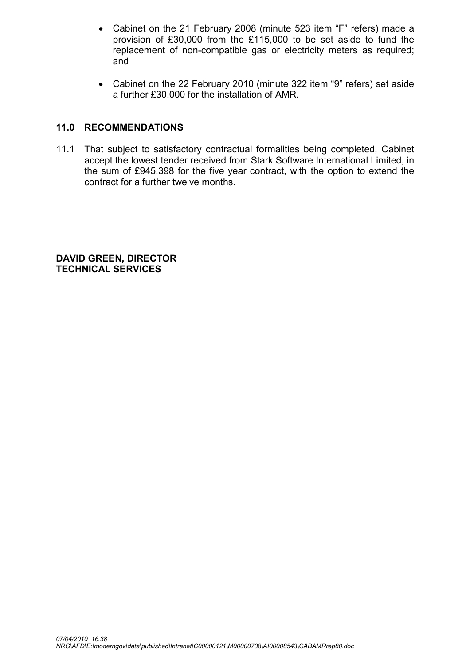- Cabinet on the 21 February 2008 (minute 523 item "F" refers) made a provision of £30,000 from the £115,000 to be set aside to fund the replacement of non-compatible gas or electricity meters as required; and
- Cabinet on the 22 February 2010 (minute 322 item "9" refers) set aside a further £30,000 for the installation of AMR.

# 11.0 RECOMMENDATIONS

11.1 That subject to satisfactory contractual formalities being completed, Cabinet accept the lowest tender received from Stark Software International Limited, in the sum of £945,398 for the five year contract, with the option to extend the contract for a further twelve months.

DAVID GREEN, DIRECTOR TECHNICAL SERVICES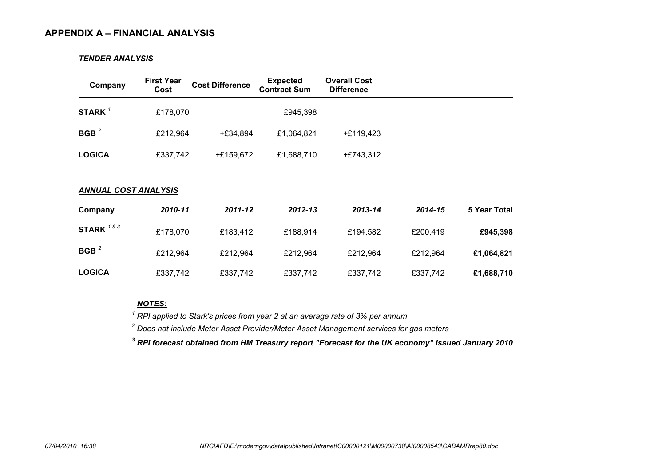#### APPENDIX A – FINANCIAL ANALYSIS

#### TENDER ANALYSIS

| Company            | <b>First Year</b><br>Cost | <b>Cost Difference</b> | <b>Expected</b><br><b>Contract Sum</b> | <b>Overall Cost</b><br><b>Difference</b> |  |
|--------------------|---------------------------|------------------------|----------------------------------------|------------------------------------------|--|
| STARK <sup>1</sup> | £178,070                  |                        | £945,398                               |                                          |  |
| BGB <sup>2</sup>   | £212,964                  | +£34,894               | £1,064,821                             | $+£119,423$                              |  |
| <b>LOGICA</b>      | £337,742                  | +£159,672              | £1,688,710                             | $+£743,312$                              |  |

#### ANNUAL COST ANALYSIS

| Company       | 2010-11  | $2011 - 12$ | $2012 - 13$ | 2013-14  | 2014-15  | 5 Year Total |
|---------------|----------|-------------|-------------|----------|----------|--------------|
| STARK $183$   | £178,070 | £183,412    | £188,914    | £194,582 | £200,419 | £945,398     |
| BGB $^2$      | £212,964 | £212,964    | £212,964    | £212,964 | £212,964 | £1,064,821   |
| <b>LOGICA</b> | £337,742 | £337,742    | £337,742    | £337,742 | £337,742 | £1,688,710   |

NOTES:

 $1$  RPI applied to Stark's prices from year 2 at an average rate of 3% per annum

 $2$  Does not include Meter Asset Provider/Meter Asset Management services for gas meters

 $^{\rm 3}$  RPI forecast obtained from HM Treasury report "Forecast for the UK economy" issued January 2010